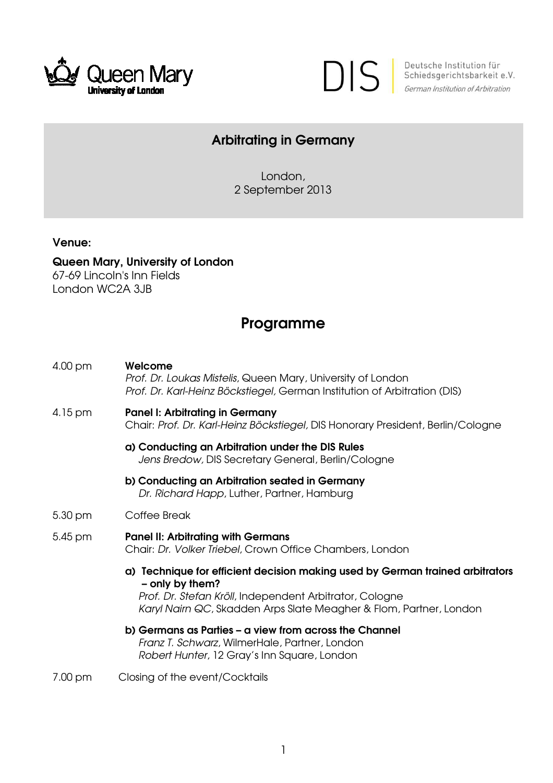



Deutsche Institution für<br>Schiedsgerichtsbarkeit e.V. German Institution of Arbitration

## Arbitrating in Germany

London, 2 September 2013

Venue:

Queen Mary, University of London 67-69 Lincoln's Inn Fields London WC2A 3JB

## Programme

| 4.00 pm | Welcome<br>Prof. Dr. Loukas Mistelis, Queen Mary, University of London<br>Prof. Dr. Karl-Heinz Böckstiegel, German Institution of Arbitration (DIS)                                                                               |
|---------|-----------------------------------------------------------------------------------------------------------------------------------------------------------------------------------------------------------------------------------|
| 4.15 pm | <b>Panel I: Arbitrating in Germany</b><br>Chair: Prof. Dr. Karl-Heinz Böckstiegel, DIS Honorary President, Berlin/Cologne                                                                                                         |
|         | a) Conducting an Arbitration under the DIS Rules<br>Jens Bredow, DIS Secretary General, Berlin/Cologne                                                                                                                            |
|         | b) Conducting an Arbitration seated in Germany<br>Dr. Richard Happ, Luther, Partner, Hamburg                                                                                                                                      |
| 5.30 pm | Coffee Break                                                                                                                                                                                                                      |
| 5.45 pm | <b>Panel II: Arbitrating with Germans</b><br>Chair: Dr. Volker Triebel, Crown Office Chambers, London                                                                                                                             |
|         | a) Technique for efficient decision making used by German trained arbitrators<br>- only by them?<br>Prof. Dr. Stefan Kröll, Independent Arbitrator, Cologne<br>Karyl Nairn QC, Skadden Arps Slate Meagher & Flom, Partner, London |
|         | b) Germans as Parties – a view from across the Channel<br>Franz T. Schwarz, WilmerHale, Partner, London<br>Robert Hunter, 12 Gray's Inn Square, London                                                                            |
| 7.00 pm | Closing of the event/Cocktails                                                                                                                                                                                                    |